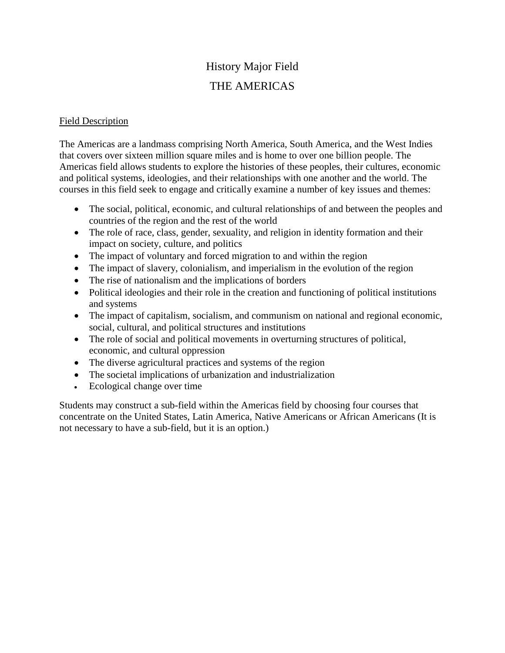## History Major Field

## THE AMERICAS

## Field Description

The Americas are a landmass comprising North America, South America, and the West Indies that covers over sixteen million square miles and is home to over one billion people. The Americas field allows students to explore the histories of these peoples, their cultures, economic and political systems, ideologies, and their relationships with one another and the world. The courses in this field seek to engage and critically examine a number of key issues and themes:

- The social, political, economic, and cultural relationships of and between the peoples and countries of the region and the rest of the world
- The role of race, class, gender, sexuality, and religion in identity formation and their impact on society, culture, and politics
- The impact of voluntary and forced migration to and within the region
- The impact of slavery, colonialism, and imperialism in the evolution of the region
- The rise of nationalism and the implications of borders
- Political ideologies and their role in the creation and functioning of political institutions and systems
- The impact of capitalism, socialism, and communism on national and regional economic, social, cultural, and political structures and institutions
- The role of social and political movements in overturning structures of political, economic, and cultural oppression
- The diverse agricultural practices and systems of the region
- The societal implications of urbanization and industrialization
- Ecological change over time

Students may construct a sub-field within the Americas field by choosing four courses that concentrate on the United States, Latin America, Native Americans or African Americans (It is not necessary to have a sub-field, but it is an option.)